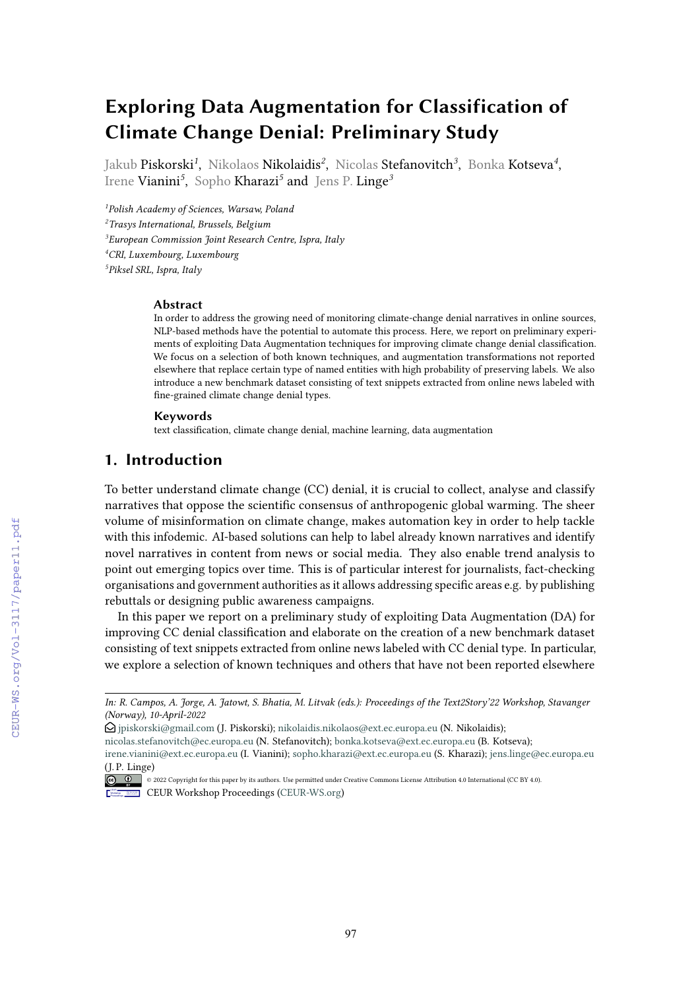# **Exploring Data Augmentation for Classification of Climate Change Denial: Preliminary Study**

Jakub **Piskorski<sup>1</sup>, Nikolaos Nikolaidis<sup>2</sup>, Nicolas Stefanovitch<sup>3</sup>, Bonka Kotseva<sup>4</sup>,** Irene Vianini*<sup>5</sup>* , Sopho Kharazi*<sup>5</sup>* and Jens P. Linge*<sup>3</sup>*

 *Polish Academy of Sciences, Warsaw, Poland Trasys International, Brussels, Belgium European Commission Joint Research Centre, Ispra, Italy CRI, Luxembourg, Luxembourg Piksel SRL, Ispra, Italy*

#### **Abstract**

In order to address the growing need of monitoring climate-change denial narratives in online sources, NLP-based methods have the potential to automate this process. Here, we report on preliminary experiments of exploiting Data Augmentation techniques for improving climate change denial classifcation. We focus on a selection of both known techniques, and augmentation transformations not reported elsewhere that replace certain type of named entities with high probability of preserving labels. We also introduce a new benchmark dataset consisting of text snippets extracted from online news labeled with fne-grained climate change denial types.

#### **Keywords**

text classifcation, climate change denial, machine learning, data augmentation

# **1. Introduction**

To better understand climate change (CC) denial, it is crucial to collect, analyse and classify narratives that oppose the scientifc consensus of anthropogenic global warming. The sheer volume of misinformation on climate change, makes automation key in order to help tackle with this infodemic. AI-based solutions can help to label already known narratives and identify novel narratives in content from news or social media. They also enable trend analysis to point out emerging topics over time. This is of particular interest for journalists, fact-checking organisations and government authorities as it allows addressing specifc areas e.g. by publishing rebuttals or designing public awareness campaigns.

In this paper we report on a preliminary study of exploiting Data Augmentation (DA) for improving CC denial classifcation and elaborate on the creation of a new benchmark dataset consisting of text snippets extracted from online news labeled with CC denial type. In particular, we explore a selection of known techniques and others that have not been reported elsewhere

*In: R. Campos, A. Jorge, A. Jatowt, S. Bhatia, M. Litvak (eds.): Proceedings of the Text2Story'22 Workshop, Stavanger (Norway), 10-April-2022*

 $\odot$  [jpiskorski@gmail.com](mailto:jpiskorski@gmail.com) (J. Piskorski); [nikolaidis.nikolaos@ext.ec.europa.eu](mailto:nikolaidis.nikolaos@ext.ec.europa.eu) (N. Nikolaidis);

[nicolas.stefanovitch@ec.europa.eu](mailto:nicolas.stefanovitch@ec.europa.eu) (N. Stefanovitch); [bonka.kotseva@ext.ec.europa.eu](mailto:bonka.kotseva@ext.ec.europa.eu) (B. Kotseva);

[irene.vianini@ext.ec.europa.eu](mailto:irene.vianini@ext.ec.europa.eu) (I. Vianini); [sopho.kharazi@ext.ec.europa.eu](mailto:sopho.kharazi@ext.ec.europa.eu) (S. Kharazi); [jens.linge@ec.europa.eu](mailto:jens.linge@ec.europa.eu) (J. P. Linge)

<sup>© 2022</sup> Copyright for this paper by its authors. Use permitted under Creative Commons License Attribution 4.0 International (CC BY 4.0). Workshop [Proceedings](http://ceur-ws.org) **EDIA Workshop Proceedings [\(CEUR-WS.org\)](http://ceur-ws.org)**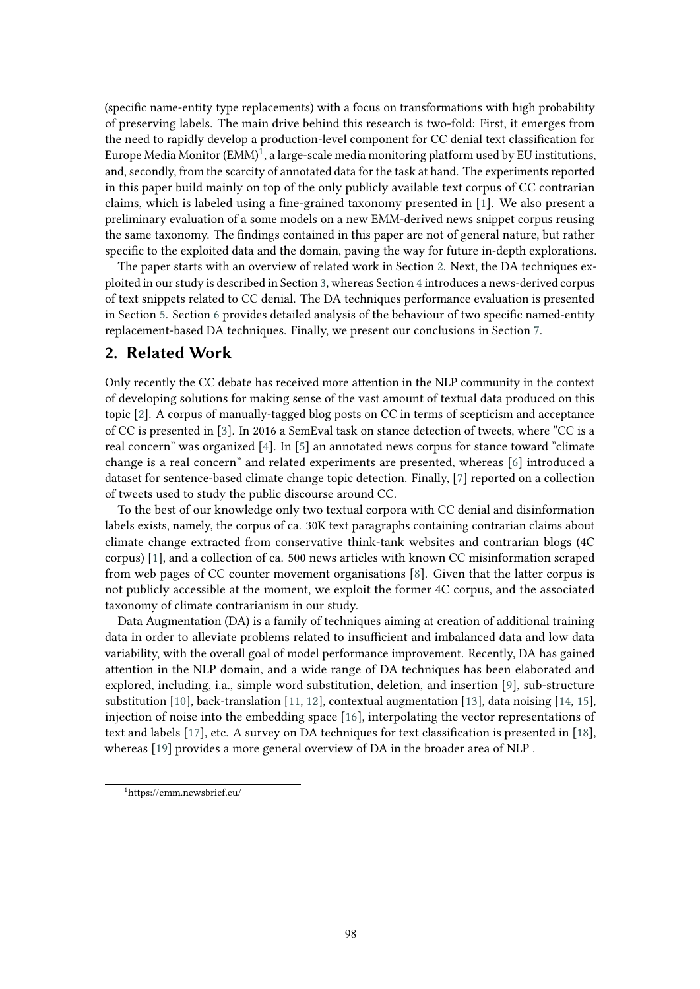(specifc name-entity type replacements) with a focus on transformations with high probability of preserving labels. The main drive behind this research is two-fold: First, it emerges from the need to rapidly develop a production-level component for CC denial text classifcation for Europe Media Monitor  $(EMM)^1$ , a large-scale media monitoring platform used by EU institutions, and, secondly, from the scarcity of annotated data for the task at hand. The experiments reported in this paper build mainly on top of the only publicly available text corpus of CC contrarian claims, which is labeled using a fne-grained taxonomy presented in [\[1\]](#page-8-0). We also present a preliminary evaluation of a some models on a new EMM-derived news snippet corpus reusing the same taxonomy. The fndings contained in this paper are not of general nature, but rather specifc to the exploited data and the domain, paving the way for future in-depth explorations.

The paper starts with an overview of related work in Section [2.](#page-1-1) Next, the DA techniques exploited in our study is described in Section [3,](#page-2-0) whereas Section [4](#page-3-0) introduces a news-derived corpus of text snippets related to CC denial. The DA techniques performance evaluation is presented in Section [5.](#page-3-1) Section [6](#page-6-0) provides detailed analysis of the behaviour of two specifc named-entity replacement-based DA techniques. Finally, we present our conclusions in Section [7.](#page-7-0)

### <span id="page-1-1"></span>**2. Related Work**

Only recently the CC debate has received more attention in the NLP community in the context of developing solutions for making sense of the vast amount of textual data produced on this topic [\[2\]](#page-8-1). A corpus of manually-tagged blog posts on CC in terms of scepticism and acceptance of CC is presented in [\[3\]](#page-8-2). In 2016 a SemEval task on stance detection of tweets, where "CC is a real concern" was organized [\[4\]](#page-8-3). In [\[5\]](#page-8-4) an annotated news corpus for stance toward "climate change is a real concern" and related experiments are presented, whereas [\[6\]](#page-8-5) introduced a dataset for sentence-based climate change topic detection. Finally, [\[7\]](#page-8-6) reported on a collection of tweets used to study the public discourse around CC.

To the best of our knowledge only two textual corpora with CC denial and disinformation labels exists, namely, the corpus of ca. 30K text paragraphs containing contrarian claims about climate change extracted from conservative think-tank websites and contrarian blogs (4C corpus) [\[1\]](#page-8-0), and a collection of ca. 500 news articles with known CC misinformation scraped from web pages of CC counter movement organisations [\[8\]](#page-8-7). Given that the latter corpus is not publicly accessible at the moment, we exploit the former 4C corpus, and the associated taxonomy of climate contrarianism in our study.

Data Augmentation (DA) is a family of techniques aiming at creation of additional training data in order to alleviate problems related to insufficient and imbalanced data and low data variability, with the overall goal of model performance improvement. Recently, DA has gained attention in the NLP domain, and a wide range of DA techniques has been elaborated and explored, including, i.a., simple word substitution, deletion, and insertion [\[9\]](#page-8-8), sub-structure substitution [\[10\]](#page-8-9), back-translation [\[11,](#page-8-10) [12\]](#page-8-11), contextual augmentation [\[13\]](#page-8-12), data noising [\[14,](#page-8-13) [15\]](#page-9-0), injection of noise into the embedding space [\[16\]](#page-9-1), interpolating the vector representations of text and labels [\[17\]](#page-9-2), etc. A survey on DA techniques for text classifcation is presented in [\[18\]](#page-9-3), whereas [\[19\]](#page-9-4) provides a more general overview of DA in the broader area of NLP .

<span id="page-1-0"></span><sup>1</sup> https://emm.newsbrief.eu/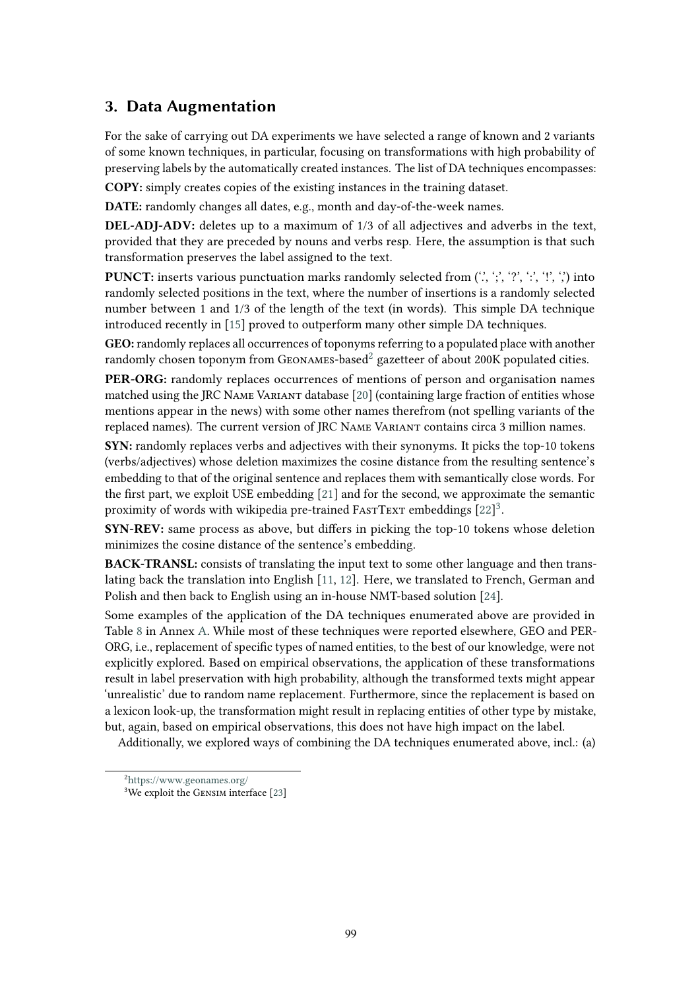# <span id="page-2-0"></span>**3. Data Augmentation**

For the sake of carrying out DA experiments we have selected a range of known and 2 variants of some known techniques, in particular, focusing on transformations with high probability of preserving labels by the automatically created instances. The list of DA techniques encompasses:

**COPY:** simply creates copies of the existing instances in the training dataset.

**DATE:** randomly changes all dates, e.g., month and day-of-the-week names.

**DEL-ADJ-ADV:** deletes up to a maximum of 1/3 of all adjectives and adverbs in the text, provided that they are preceded by nouns and verbs resp. Here, the assumption is that such transformation preserves the label assigned to the text.

**PUNCT:** inserts various punctuation marks randomly selected from ('.', ';', '?', ':', '!', ',') into randomly selected positions in the text, where the number of insertions is a randomly selected number between 1 and 1/3 of the length of the text (in words). This simple DA technique introduced recently in [\[15\]](#page-9-0) proved to outperform many other simple DA techniques.

**GEO:** randomly replaces all occurrences of toponyms referring to a populated place with another randomly chosen toponym from GEONAMES-based<sup>2</sup> gazetteer of about 200K populated cities.

**PER-ORG:** randomly replaces occurrences of mentions of person and organisation names matched using the JRC Name Variant database [\[20\]](#page-9-5) (containing large fraction of entities whose mentions appear in the news) with some other names therefrom (not spelling variants of the replaced names). The current version of JRC Name Variant contains circa 3 million names.

**SYN:** randomly replaces verbs and adjectives with their synonyms. It picks the top-10 tokens (verbs/adjectives) whose deletion maximizes the cosine distance from the resulting sentence's embedding to that of the original sentence and replaces them with semantically close words. For the frst part, we exploit USE embedding [\[21\]](#page-9-6) and for the second, we approximate the semantic proximity of words with wikipedia pre-trained FASTTEXT embeddings [\[22\]](#page-9-7)<sup>3</sup>.

**SYN-REV:** same process as above, but difers in picking the top-10 tokens whose deletion minimizes the cosine distance of the sentence's embedding.

**BACK-TRANSL:** consists of translating the input text to some other language and then translating back the translation into English [\[11,](#page-8-10) [12\]](#page-8-11). Here, we translated to French, German and Polish and then back to English using an in-house NMT-based solution [\[24\]](#page-9-8).

Some examples of the application of the DA techniques enumerated above are provided in Table [8](#page-11-0) in Annex [A.](#page-10-0) While most of these techniques were reported elsewhere, GEO and PER-ORG, i.e., replacement of specifc types of named entities, to the best of our knowledge, were not explicitly explored. Based on empirical observations, the application of these transformations result in label preservation with high probability, although the transformed texts might appear 'unrealistic' due to random name replacement. Furthermore, since the replacement is based on a lexicon look-up, the transformation might result in replacing entities of other type by mistake, but, again, based on empirical observations, this does not have high impact on the label.

Additionally, we explored ways of combining the DA techniques enumerated above, incl.: (a)

<span id="page-2-1"></span><sup>2</sup> <https://www.geonames.org/>

<span id="page-2-2"></span><sup>&</sup>lt;sup>3</sup>We exploit the GENSIM interface [\[23\]](#page-9-9)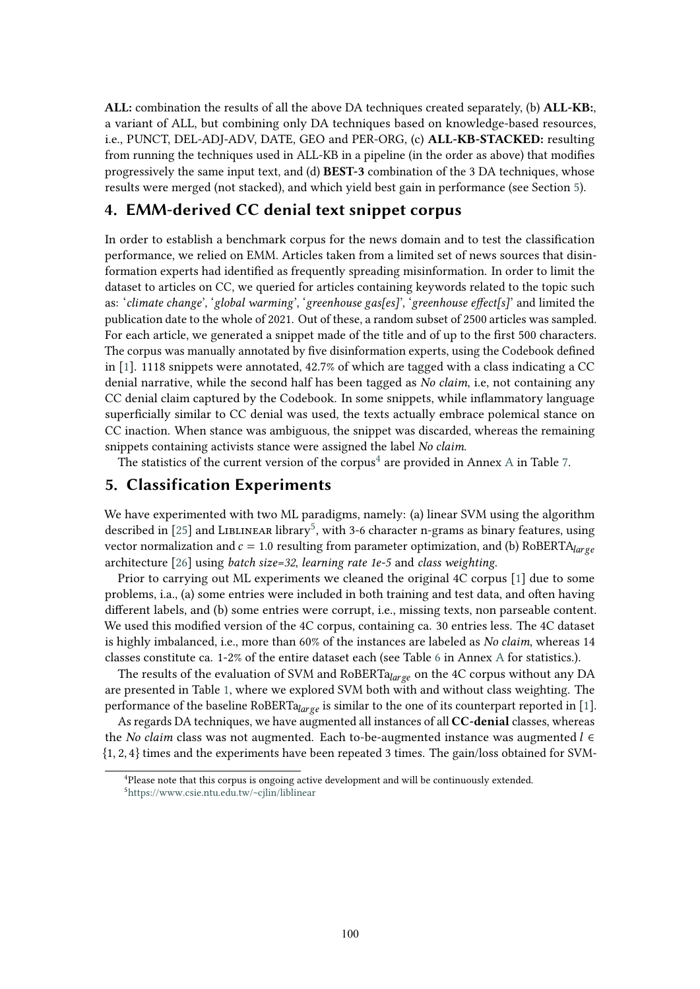**ALL:** combination the results of all the above DA techniques created separately, (b) **ALL-KB:**, a variant of ALL, but combining only DA techniques based on knowledge-based resources, i.e., PUNCT, DEL-ADJ-ADV, DATE, GEO and PER-ORG, (c) **ALL-KB-STACKED:** resulting from running the techniques used in ALL-KB in a pipeline (in the order as above) that modifes progressively the same input text, and (d) **BEST-3** combination of the 3 DA techniques, whose results were merged (not stacked), and which yield best gain in performance (see Section [5\)](#page-3-1).

# <span id="page-3-0"></span>**4. EMM-derived CC denial text snippet corpus**

In order to establish a benchmark corpus for the news domain and to test the classifcation performance, we relied on EMM. Articles taken from a limited set of news sources that disinformation experts had identifed as frequently spreading misinformation. In order to limit the dataset to articles on CC, we queried for articles containing keywords related to the topic such as: '*climate change*', '*global warming*', '*greenhouse gas[es]*', '*greenhouse efect[s]*' and limited the publication date to the whole of 2021. Out of these, a random subset of 2500 articles was sampled. For each article, we generated a snippet made of the title and of up to the frst 500 characters. The corpus was manually annotated by fve disinformation experts, using the Codebook defned in [\[1\]](#page-8-0). 1118 snippets were annotated, 42.7% of which are tagged with a class indicating a CC denial narrative, while the second half has been tagged as *No claim*, i.e, not containing any CC denial claim captured by the Codebook. In some snippets, while infammatory language superfcially similar to CC denial was used, the texts actually embrace polemical stance on CC inaction. When stance was ambiguous, the snippet was discarded, whereas the remaining snippets containing activists stance were assigned the label *No claim*.

The statistics of the current version of the corpus<sup>[4](#page-3-2)</sup> are provided in [A](#page-10-0)nnex A in Table [7.](#page-11-1)

# <span id="page-3-1"></span>**5. Classification Experiments**

We have experimented with two ML paradigms, namely: (a) linear SVM using the algorithm described in [\[25\]](#page-9-10) and LIBLINEAR library<sup>5</sup>, with 3-6 character n-grams as binary features, using vector normalization and  $c = 1.0$  resulting from parameter optimization, and (b) RoBERTA $_{large}$ architecture [\[26\]](#page-9-11) using *batch size=32*, *learning rate 1e-5* and *class weighting*.

Prior to carrying out ML experiments we cleaned the original 4C corpus [\[1\]](#page-8-0) due to some problems, i.a., (a) some entries were included in both training and test data, and ofen having diferent labels, and (b) some entries were corrupt, i.e., missing texts, non parseable content. We used this modifed version of the 4C corpus, containing ca. 30 entries less. The 4C dataset is highly imbalanced, i.e., more than 60% of the instances are labeled as *No claim*, whereas 14 classes constitute ca. 1-2% of the entire dataset each (see Table [6](#page-10-1) in Annex [A](#page-10-0) for statistics.).

The results of the evaluation of SVM and RoBERT $a_{large}$  on the 4C corpus without any DA are presented in Table [1,](#page-4-0) where we explored SVM both with and without class weighting. The performance of the baseline RoBERT $a_{large}$  is similar to the one of its counterpart reported in [\[1\]](#page-8-0).

As regards DA techniques, we have augmented all instances of all **CC-denial** classes, whereas the *No claim* class was not augmented. Each to-be-augmented instance was augmented  $l \in$ {1, 2, 4} times and the experiments have been repeated 3 times. The gain/loss obtained for SVM-

<span id="page-3-3"></span><span id="page-3-2"></span><sup>&</sup>lt;sup>4</sup>Please note that this corpus is ongoing active development and will be continuously extended. 5 <https://www.csie.ntu.edu.tw/~cjlin/liblinear>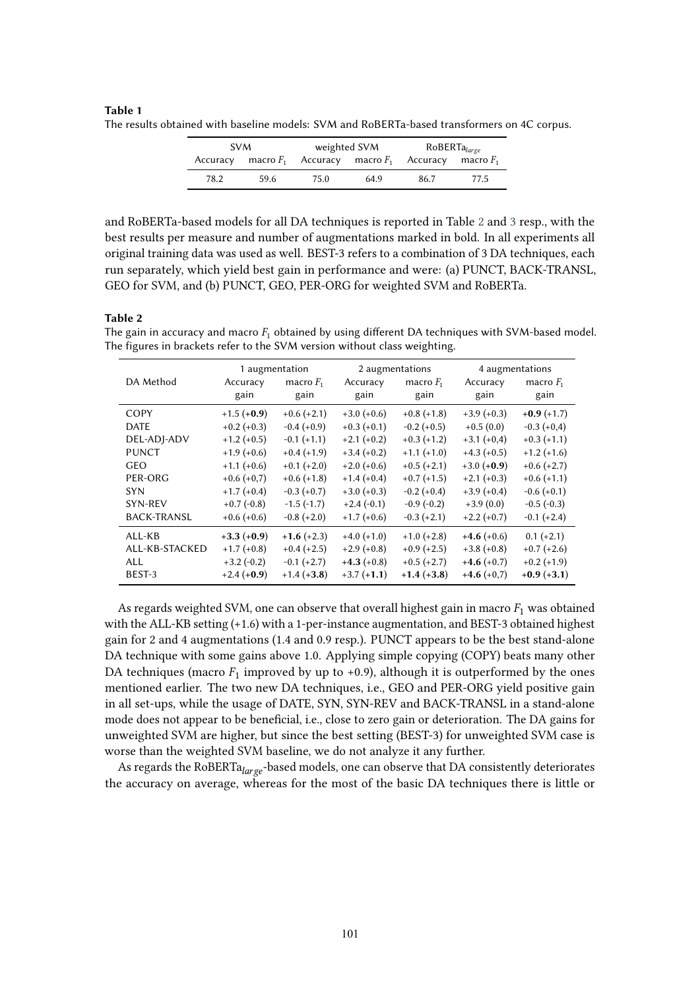#### <span id="page-4-0"></span>**Table 1** The results obtained with baseline models: SVM and RoBERTa-based transformers on 4C corpus.

| <b>SVM</b> |      | weighted SVM                                                   |      | $\mathsf{RoBERTa}_{\mathit{large}}$ |      |  |
|------------|------|----------------------------------------------------------------|------|-------------------------------------|------|--|
|            |      | Accuracy macro $F_1$ Accuracy macro $F_1$ Accuracy macro $F_1$ |      |                                     |      |  |
| 78.2       | 59.6 | 75.0                                                           | 64.9 | 86.7                                | 77.5 |  |

and RoBERTa-based models for all DA techniques is reported in Table [2](#page-4-1) and [3](#page-5-0) resp., with the best results per measure and number of augmentations marked in bold. In all experiments all original training data was used as well. BEST-3 refers to a combination of 3 DA techniques, each run separately, which yield best gain in performance and were: (a) PUNCT, BACK-TRANSL, GEO for SVM, and (b) PUNCT, GEO, PER-ORG for weighted SVM and RoBERTa.

#### <span id="page-4-1"></span>**Table 2**

The gain in accuracy and macro  $F_1$  obtained by using different DA techniques with SVM-based model. The figures in brackets refer to the SVM version without class weighting.

|                    | 1 augmentation |               | 2 augmentations |               | 4 augmentations |               |
|--------------------|----------------|---------------|-----------------|---------------|-----------------|---------------|
| DA Method          | Accuracy       | macro $F_1$   | Accuracy        | macro $F_1$   | Accuracy        | macro $F_1$   |
|                    | gain           | gain          | gain            | gain          | gain            | gain          |
| COPY               | $+1.5(+0.9)$   | $+0.6 (+2.1)$ | $+3.0 (+0.6)$   | $+0.8(+1.8)$  | $+3.9(+0.3)$    | $+0.9(+1.7)$  |
| <b>DATE</b>        | $+0.2 (+0.3)$  | $-0.4(+0.9)$  | $+0.3(+0.1)$    | $-0.2 (+0.5)$ | $+0.5(0.0)$     | $-0.3 (+0.4)$ |
| DEL-ADJ-ADV        | $+1.2 (+0.5)$  | $-0.1 (+1.1)$ | $+2.1 (+0.2)$   | $+0.3(+1.2)$  | $+3.1 (+0,4)$   | $+0.3(+1.1)$  |
| <b>PUNCT</b>       | $+1.9(+0.6)$   | $+0.4(+1.9)$  | $+3.4 (+0.2)$   | $+1.1 (+1.0)$ | $+4.3(+0.5)$    | $+1.2(+1.6)$  |
| <b>GEO</b>         | $+1.1 (+0.6)$  | $+0.1 (+2.0)$ | $+2.0(+0.6)$    | $+0.5 (+2.1)$ | $+3.0 (+0.9)$   | $+0.6 (+2.7)$ |
| PER-ORG            | $+0.6 (+0.7)$  | $+0.6(+1.8)$  | $+1.4(+0.4)$    | $+0.7(+1.5)$  | $+2.1 (+0.3)$   | $+0.6(+1.1)$  |
| <b>SYN</b>         | $+1.7(+0.4)$   | $-0.3 (+0.7)$ | $+3.0 (+0.3)$   | $-0.2 (+0.4)$ | $+3.9(+0.4)$    | $-0.6 (+0.1)$ |
| SYN-REV            | $+0.7(-0.8)$   | $-1.5(-1.7)$  | $+2.4(-0.1)$    | $-0.9(-0.2)$  | $+3.9(0.0)$     | $-0.5(-0.3)$  |
| <b>BACK-TRANSL</b> | $+0.6(+0.6)$   | $-0.8 (+2.0)$ | $+1.7(+0.6)$    | $-0.3 (+2.1)$ | $+2.2 (+0.7)$   | $-0.1 (+2.4)$ |
| ALL-KB             | $+3.3(+0.9)$   | $+1.6 (+2.3)$ | $+4.0 (+1.0)$   | $+1.0 (+2.8)$ | $+4.6 (+0.6)$   | $0.1 (+2.1)$  |
| ALL-KB-STACKED     | $+1.7(+0.8)$   | $+0.4 (+2.5)$ | $+2.9(+0.8)$    | $+0.9$ (+2.5) | $+3.8(+0.8)$    | $+0.7(+2.6)$  |
| <b>ALL</b>         | $+3.2(-0.2)$   | $-0.1 (+2.7)$ | $+4.3(+0.8)$    | $+0.5 (+2.7)$ | $+4.6 (+0.7)$   | $+0.2 (+1.9)$ |
| BEST-3             | $+2.4 (+0.9)$  | $+1.4 (+3.8)$ | $+3.7 (+1.1)$   | $+1.4(+3.8)$  | $+4.6 (+0.7)$   | $+0.9(+3.1)$  |

As regards weighted SVM, one can observe that overall highest gain in macro  $F_1$  was obtained with the ALL-KB setting (+1.6) with a 1-per-instance augmentation, and BEST-3 obtained highest gain for 2 and 4 augmentations (1.4 and 0.9 resp.). PUNCT appears to be the best stand-alone DA technique with some gains above 1.0. Applying simple copying (COPY) beats many other DA techniques (macro  $F_1$  improved by up to +0.9), although it is outperformed by the ones mentioned earlier. The two new DA techniques, i.e., GEO and PER-ORG yield positive gain in all set-ups, while the usage of DATE, SYN, SYN-REV and BACK-TRANSL in a stand-alone mode does not appear to be benefcial, i.e., close to zero gain or deterioration. The DA gains for unweighted SVM are higher, but since the best setting (BEST-3) for unweighted SVM case is worse than the weighted SVM baseline, we do not analyze it any further.

As regards the RoBERT $a_{large}$ -based models, one can observe that DA consistently deteriorates the accuracy on average, whereas for the most of the basic DA techniques there is little or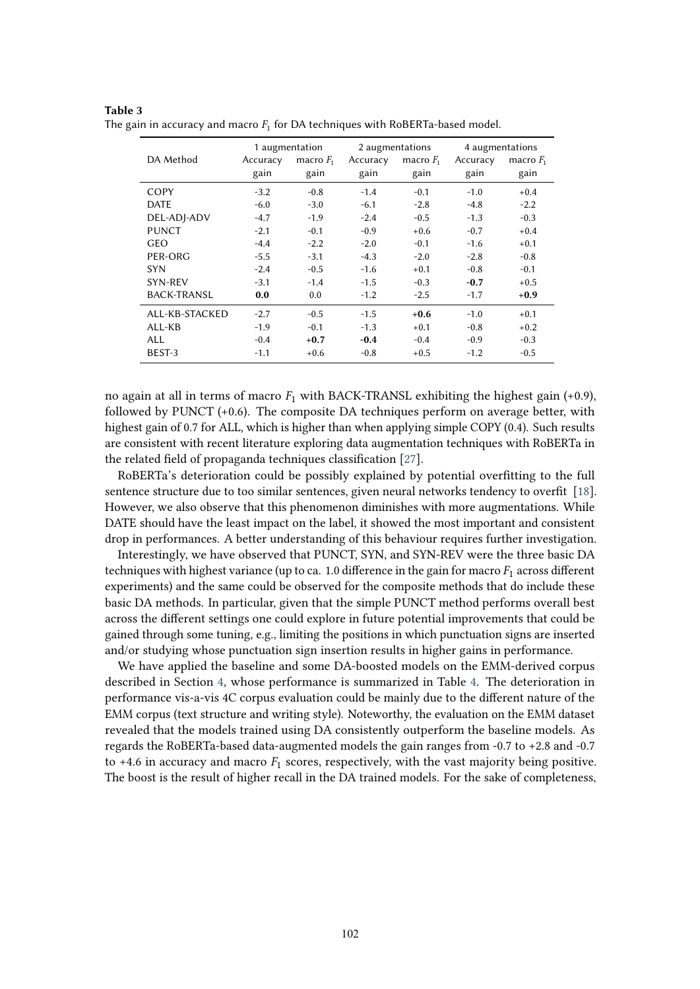|                    |          | 1 augmentation |          | 2 augmentations | 4 augmentations |             |
|--------------------|----------|----------------|----------|-----------------|-----------------|-------------|
| DA Method          | Accuracy | macro $F_1$    | Accuracy | macro $F_1$     | Accuracy        | macro $F_1$ |
|                    | gain     | gain           | gain     | gain            | gain            | gain        |
| COPY               | $-3.2$   | $-0.8$         | $-1.4$   | $-0.1$          | $-1.0$          | $+0.4$      |
| <b>DATE</b>        | $-6.0$   | $-3.0$         | $-6.1$   | $-2.8$          | $-4.8$          | $-2.2$      |
| DEL-ADJ-ADV        | $-4.7$   | $-1.9$         | $-2.4$   | $-0.5$          | $-1.3$          | $-0.3$      |
| <b>PUNCT</b>       | $-2.1$   | $-0.1$         | $-0.9$   | $+0.6$          | $-0.7$          | $+0.4$      |
| GEO                | $-4.4$   | $-2.2$         | $-2.0$   | $-0.1$          | $-1.6$          | $+0.1$      |
| PER-ORG            | $-5.5$   | $-3.1$         | $-4.3$   | $-2.0$          | $-2.8$          | $-0.8$      |
| <b>SYN</b>         | $-2.4$   | $-0.5$         | $-1.6$   | $+0.1$          | $-0.8$          | $-0.1$      |
| SYN-REV            | $-3.1$   | $-1.4$         | $-1.5$   | $-0.3$          | $-0.7$          | $+0.5$      |
| <b>BACK-TRANSL</b> | 0.0      | 0.0            | $-1.2$   | $-2.5$          | $-1.7$          | $+0.9$      |
| ALL-KB-STACKED     | $-2.7$   | $-0.5$         | $-1.5$   | $+0.6$          | $-1.0$          | $+0.1$      |
| ALL-KB             | $-1.9$   | $-0.1$         | $-1.3$   | $+0.1$          | $-0.8$          | $+0.2$      |
| ALL                | $-0.4$   | $+0.7$         | $-0.4$   | $-0.4$          | $-0.9$          | $-0.3$      |
| BEST-3             | $-1.1$   | $+0.6$         | $-0.8$   | $+0.5$          | $-1.2$          | $-0.5$      |

<span id="page-5-0"></span>**Table 3** The gain in accuracy and macro  $F_1$  for DA techniques with RoBERTa-based model.

no again at all in terms of macro  $F_1$  with BACK-TRANSL exhibiting the highest gain (+0.9), followed by PUNCT (+0.6). The composite DA techniques perform on average better, with highest gain of 0.7 for ALL, which is higher than when applying simple COPY (0.4). Such results are consistent with recent literature exploring data augmentation techniques with RoBERTa in the related feld of propaganda techniques classifcation [\[27\]](#page-10-2).

RoBERTa's deterioration could be possibly explained by potential overftting to the full sentence structure due to too similar sentences, given neural networks tendency to overft [\[18\]](#page-9-3). However, we also observe that this phenomenon diminishes with more augmentations. While DATE should have the least impact on the label, it showed the most important and consistent drop in performances. A better understanding of this behaviour requires further investigation.

Interestingly, we have observed that PUNCT, SYN, and SYN-REV were the three basic DA techniques with highest variance (up to ca. 1.0 difference in the gain for macro  $F_1$  across different experiments) and the same could be observed for the composite methods that do include these basic DA methods. In particular, given that the simple PUNCT method performs overall best across the diferent settings one could explore in future potential improvements that could be gained through some tuning, e.g., limiting the positions in which punctuation signs are inserted and/or studying whose punctuation sign insertion results in higher gains in performance.

We have applied the baseline and some DA-boosted models on the EMM-derived corpus described in Section [4,](#page-3-0) whose performance is summarized in Table [4.](#page-6-1) The deterioration in performance vis-a-vis 4C corpus evaluation could be mainly due to the diferent nature of the EMM corpus (text structure and writing style). Noteworthy, the evaluation on the EMM dataset revealed that the models trained using DA consistently outperform the baseline models. As regards the RoBERTa-based data-augmented models the gain ranges from -0.7 to +2.8 and -0.7 to +4.6 in accuracy and macro  $F_1$  scores, respectively, with the vast majority being positive. The boost is the result of higher recall in the DA trained models. For the sake of completeness,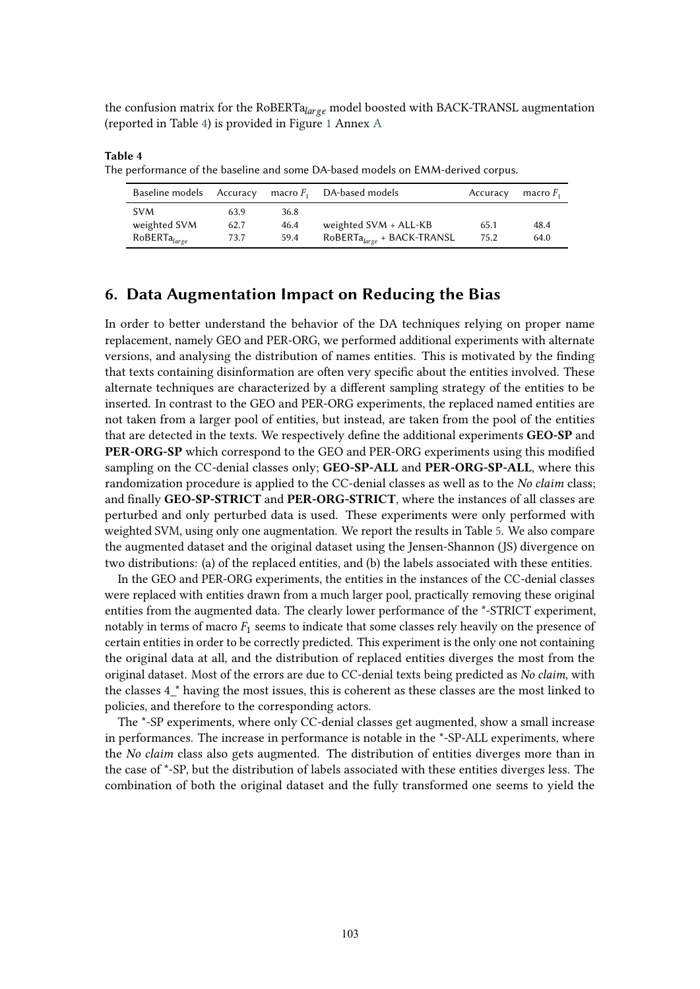the confusion matrix for the RoBERT $a_{large}$  model boosted with BACK-TRANSL augmentation (reported in Table [4\)](#page-6-1) is provided in Figure [1](#page-12-0) Annex [A](#page-10-0)

Baseline models Accuracy macro  $F_1$  DA-based models Accuracy macro  $F_1$ SVM 63.9 36.8 weighted SVM 62.7 46.4 weighted SVM + ALL-KB 65.1 48.4<br>RoBERTa<sub>laree</sub> 73.7 59.4 RoBERTa<sub>laree</sub> + BACK-TRANSL 75.2 64.0 73.7 59.4  $RoBERTa_{large} + BACK-TRANSL$  75.2 64.0

The performance of the baseline and some DA-based models on EMM-derived corpus.

<span id="page-6-1"></span>**Table 4**

# <span id="page-6-0"></span>**6. Data Augmentation Impact on Reducing the Bias**

In order to better understand the behavior of the DA techniques relying on proper name replacement, namely GEO and PER-ORG, we performed additional experiments with alternate versions, and analysing the distribution of names entities. This is motivated by the fnding that texts containing disinformation are ofen very specifc about the entities involved. These alternate techniques are characterized by a diferent sampling strategy of the entities to be inserted. In contrast to the GEO and PER-ORG experiments, the replaced named entities are not taken from a larger pool of entities, but instead, are taken from the pool of the entities that are detected in the texts. We respectively defne the additional experiments **GEO-SP** and **PER-ORG-SP** which correspond to the GEO and PER-ORG experiments using this modifed sampling on the CC-denial classes only; **GEO-SP-ALL** and **PER-ORG-SP-ALL**, where this randomization procedure is applied to the CC-denial classes as well as to the *No claim* class; and fnally **GEO-SP-STRICT** and **PER-ORG-STRICT**, where the instances of all classes are perturbed and only perturbed data is used. These experiments were only performed with weighted SVM, using only one augmentation. We report the results in Table [5.](#page-7-1) We also compare the augmented dataset and the original dataset using the Jensen-Shannon (JS) divergence on two distributions: (a) of the replaced entities, and (b) the labels associated with these entities.

In the GEO and PER-ORG experiments, the entities in the instances of the CC-denial classes were replaced with entities drawn from a much larger pool, practically removing these original entities from the augmented data. The clearly lower performance of the \*-STRICT experiment, notably in terms of macro  $F_1$  seems to indicate that some classes rely heavily on the presence of certain entities in order to be correctly predicted. This experiment is the only one not containing the original data at all, and the distribution of replaced entities diverges the most from the original dataset. Most of the errors are due to CC-denial texts being predicted as *No claim*, with the classes 4<sup>\*</sup> having the most issues, this is coherent as these classes are the most linked to policies, and therefore to the corresponding actors.

The \*-SP experiments, where only CC-denial classes get augmented, show a small increase in performances. The increase in performance is notable in the \*-SP-ALL experiments, where the *No claim* class also gets augmented. The distribution of entities diverges more than in the case of \*-SP, but the distribution of labels associated with these entities diverges less. The combination of both the original dataset and the fully transformed one seems to yield the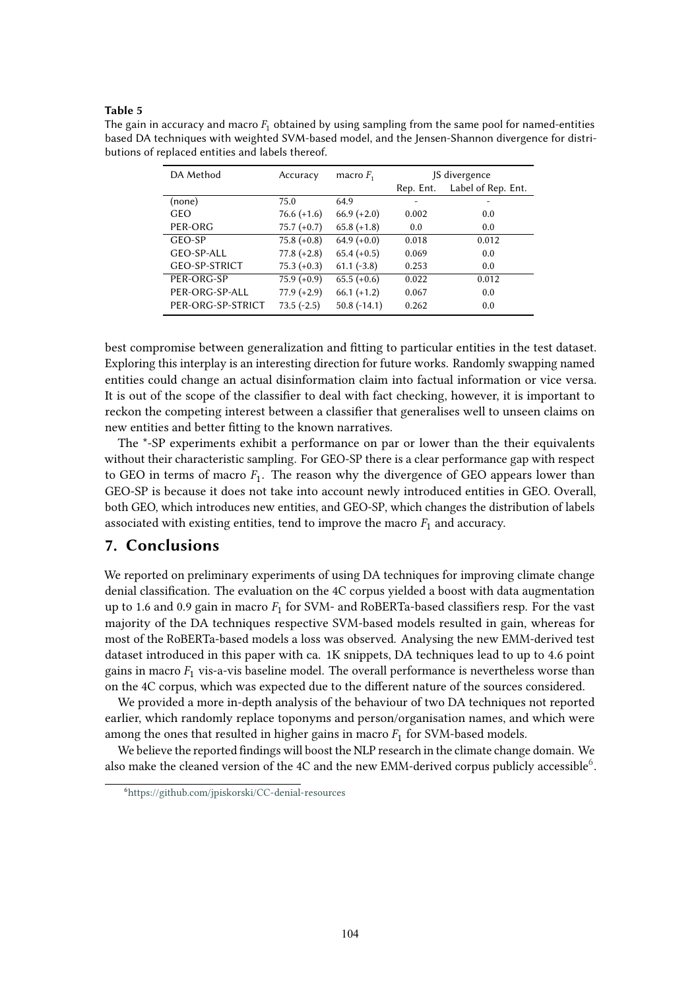#### <span id="page-7-1"></span>**Table 5**

The gain in accuracy and macro  $F_1$  obtained by using sampling from the same pool for named-entities based DA techniques with weighted SVM-based model, and the Jensen-Shannon divergence for distributions of replaced entities and labels thereof.

| DA Method            | Accuracy      | macro $F_1$   | JS divergence |                    |
|----------------------|---------------|---------------|---------------|--------------------|
|                      |               |               | Rep. Ent.     | Label of Rep. Ent. |
| (none)               | 75.0          | 64.9          |               |                    |
| GEO                  | $76.6 (+1.6)$ | $66.9 (+2.0)$ | 0.002         | 0.0                |
| PER-ORG              | $75.7 (+0.7)$ | $65.8 (+1.8)$ | 0.0           | 0.0                |
| GEO-SP               | $75.8 (+0.8)$ | $64.9 (+0.0)$ | 0.018         | 0.012              |
| GEO-SP-ALL           | $77.8 (+2.8)$ | $65.4 (+0.5)$ | 0.069         | 0.0                |
| <b>GEO-SP-STRICT</b> | $75.3 (+0.3)$ | $61.1(-3.8)$  | 0.253         | 0.0                |
| PER-ORG-SP           | $75.9 (+0.9)$ | $65.5 (+0.6)$ | 0.022         | 0.012              |
| PER-ORG-SP-ALL       | $77.9 (+2.9)$ | $66.1 (+1.2)$ | 0.067         | 0.0                |
| PER-ORG-SP-STRICT    | $73.5(-2.5)$  | $50.8(-14.1)$ | 0.262         | 0.0                |

best compromise between generalization and ftting to particular entities in the test dataset. Exploring this interplay is an interesting direction for future works. Randomly swapping named entities could change an actual disinformation claim into factual information or vice versa. It is out of the scope of the classifer to deal with fact checking, however, it is important to reckon the competing interest between a classifer that generalises well to unseen claims on new entities and better ftting to the known narratives.

The \*-SP experiments exhibit a performance on par or lower than the their equivalents without their characteristic sampling. For GEO-SP there is a clear performance gap with respect to GEO in terms of macro  $F_1$ . The reason why the divergence of GEO appears lower than GEO-SP is because it does not take into account newly introduced entities in GEO. Overall, both GEO, which introduces new entities, and GEO-SP, which changes the distribution of labels associated with existing entities, tend to improve the macro  $F_1$  and accuracy.

# <span id="page-7-0"></span>**7. Conclusions**

We reported on preliminary experiments of using DA techniques for improving climate change denial classifcation. The evaluation on the 4C corpus yielded a boost with data augmentation up to 1.6 and 0.9 gain in macro  $F_1$  for SVM- and RoBERTa-based classifiers resp. For the vast majority of the DA techniques respective SVM-based models resulted in gain, whereas for most of the RoBERTa-based models a loss was observed. Analysing the new EMM-derived test dataset introduced in this paper with ca. 1K snippets, DA techniques lead to up to 4.6 point gains in macro  $F_1$  vis-a-vis baseline model. The overall performance is nevertheless worse than on the 4C corpus, which was expected due to the diferent nature of the sources considered.

We provided a more in-depth analysis of the behaviour of two DA techniques not reported earlier, which randomly replace toponyms and person/organisation names, and which were among the ones that resulted in higher gains in macro  $F_1$  for SVM-based models.

We believe the reported fndings will boost the NLP research in the climate change domain. We also make the cleaned version of the 4C and the new EMM-derived corpus publicly accessible<sup>6</sup>.

<span id="page-7-2"></span><sup>6</sup> <https://github.com/jpiskorski/CC-denial-resources>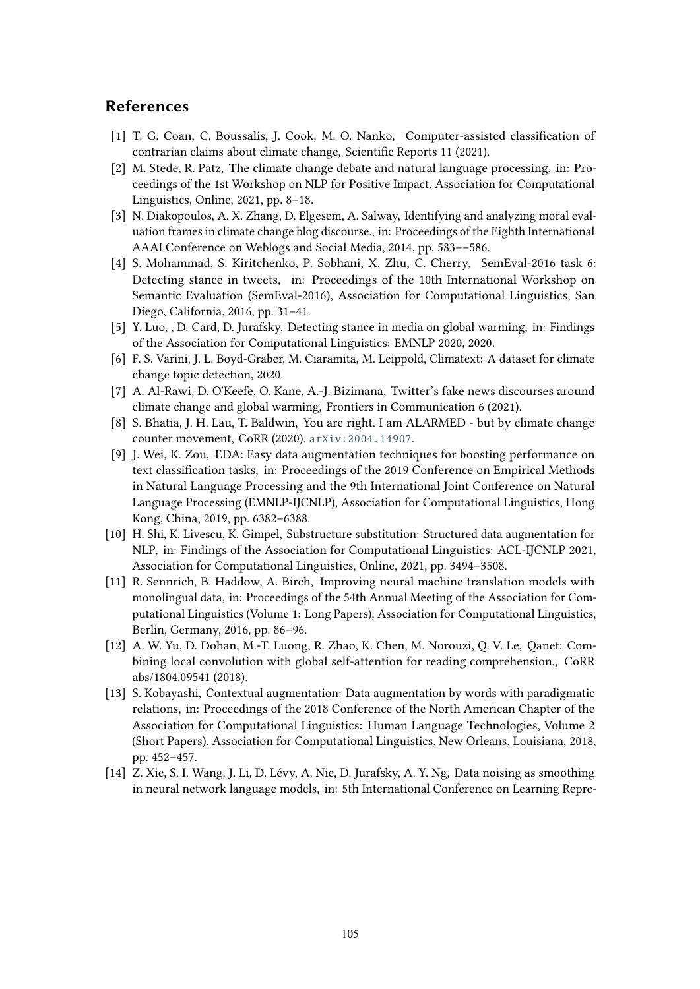# **References**

- <span id="page-8-0"></span>[1] T. G. Coan, C. Boussalis, J. Cook, M. O. Nanko, Computer-assisted classifcation of contrarian claims about climate change, Scientifc Reports 11 (2021).
- <span id="page-8-1"></span>[2] M. Stede, R. Patz, The climate change debate and natural language processing, in: Proceedings of the 1st Workshop on NLP for Positive Impact, Association for Computational Linguistics, Online, 2021, pp. 8–18.
- <span id="page-8-2"></span>[3] N. Diakopoulos, A. X. Zhang, D. Elgesem, A. Salway, Identifying and analyzing moral evaluation frames in climate change blog discourse., in: Proceedings of the Eighth International AAAI Conference on Weblogs and Social Media, 2014, pp. 583––586.
- <span id="page-8-3"></span>[4] S. Mohammad, S. Kiritchenko, P. Sobhani, X. Zhu, C. Cherry, SemEval-2016 task 6: Detecting stance in tweets, in: Proceedings of the 10th International Workshop on Semantic Evaluation (SemEval-2016), Association for Computational Linguistics, San Diego, California, 2016, pp. 31–41.
- <span id="page-8-4"></span>[5] Y. Luo, , D. Card, D. Jurafsky, Detecting stance in media on global warming, in: Findings of the Association for Computational Linguistics: EMNLP 2020, 2020.
- <span id="page-8-5"></span>[6] F. S. Varini, J. L. Boyd-Graber, M. Ciaramita, M. Leippold, Climatext: A dataset for climate change topic detection, 2020.
- <span id="page-8-6"></span>[7] A. Al-Rawi, D. O'Keefe, O. Kane, A.-J. Bizimana, Twitter's fake news discourses around climate change and global warming, Frontiers in Communication 6 (2021).
- <span id="page-8-7"></span>[8] S. Bhatia, J. H. Lau, T. Baldwin, You are right. I am ALARMED - but by climate change counter movement, CoRR (2020). [arXiv:2004.14907](http://arxiv.org/abs/2004.14907).
- <span id="page-8-8"></span>[9] J. Wei, K. Zou, EDA: Easy data augmentation techniques for boosting performance on text classifcation tasks, in: Proceedings of the 2019 Conference on Empirical Methods in Natural Language Processing and the 9th International Joint Conference on Natural Language Processing (EMNLP-IJCNLP), Association for Computational Linguistics, Hong Kong, China, 2019, pp. 6382–6388.
- <span id="page-8-9"></span>[10] H. Shi, K. Livescu, K. Gimpel, Substructure substitution: Structured data augmentation for NLP, in: Findings of the Association for Computational Linguistics: ACL-IJCNLP 2021, Association for Computational Linguistics, Online, 2021, pp. 3494–3508.
- <span id="page-8-10"></span>[11] R. Sennrich, B. Haddow, A. Birch, Improving neural machine translation models with monolingual data, in: Proceedings of the 54th Annual Meeting of the Association for Computational Linguistics (Volume 1: Long Papers), Association for Computational Linguistics, Berlin, Germany, 2016, pp. 86–96.
- <span id="page-8-11"></span>[12] A. W. Yu, D. Dohan, M.-T. Luong, R. Zhao, K. Chen, M. Norouzi, Q. V. Le, Qanet: Combining local convolution with global self-attention for reading comprehension., CoRR abs/1804.09541 (2018).
- <span id="page-8-12"></span>[13] S. Kobayashi, Contextual augmentation: Data augmentation by words with paradigmatic relations, in: Proceedings of the 2018 Conference of the North American Chapter of the Association for Computational Linguistics: Human Language Technologies, Volume 2 (Short Papers), Association for Computational Linguistics, New Orleans, Louisiana, 2018, pp. 452–457.
- <span id="page-8-13"></span>[14] Z. Xie, S. I. Wang, J. Li, D. Lévy, A. Nie, D. Jurafsky, A. Y. Ng, Data noising as smoothing in neural network language models, in: 5th International Conference on Learning Repre-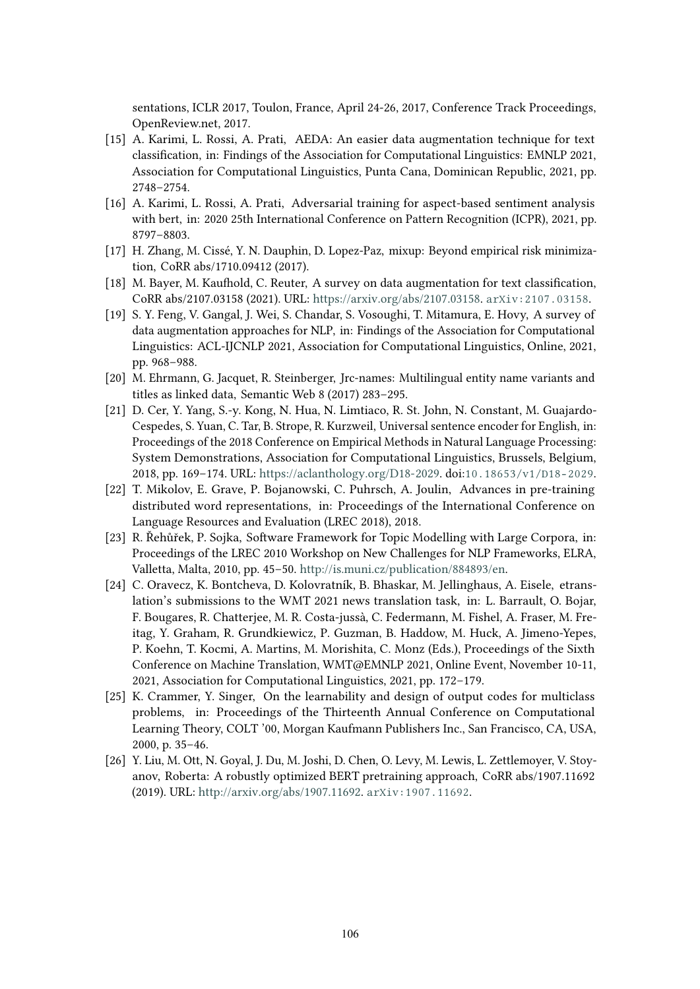sentations, ICLR 2017, Toulon, France, April 24-26, 2017, Conference Track Proceedings, OpenReview.net, 2017.

- <span id="page-9-0"></span>[15] A. Karimi, L. Rossi, A. Prati, AEDA: An easier data augmentation technique for text classifcation, in: Findings of the Association for Computational Linguistics: EMNLP 2021, Association for Computational Linguistics, Punta Cana, Dominican Republic, 2021, pp. 2748–2754.
- <span id="page-9-1"></span>[16] A. Karimi, L. Rossi, A. Prati, Adversarial training for aspect-based sentiment analysis with bert, in: 2020 25th International Conference on Pattern Recognition (ICPR), 2021, pp. 8797–8803.
- <span id="page-9-2"></span>[17] H. Zhang, M. Cissé, Y. N. Dauphin, D. Lopez-Paz, mixup: Beyond empirical risk minimization, CoRR abs/1710.09412 (2017).
- <span id="page-9-3"></span>[18] M. Bayer, M. Kaufold, C. Reuter, A survey on data augmentation for text classifcation, CoRR abs/2107.03158 (2021). URL: [https://arxiv.org/abs/2107.03158.](https://arxiv.org/abs/2107.03158) [arXiv:2107.03158](http://arxiv.org/abs/2107.03158).
- <span id="page-9-4"></span>[19] S. Y. Feng, V. Gangal, J. Wei, S. Chandar, S. Vosoughi, T. Mitamura, E. Hovy, A survey of data augmentation approaches for NLP, in: Findings of the Association for Computational Linguistics: ACL-IJCNLP 2021, Association for Computational Linguistics, Online, 2021, pp. 968–988.
- <span id="page-9-5"></span>[20] M. Ehrmann, G. Jacquet, R. Steinberger, Jrc-names: Multilingual entity name variants and titles as linked data, Semantic Web 8 (2017) 283–295.
- <span id="page-9-6"></span>[21] D. Cer, Y. Yang, S.-y. Kong, N. Hua, N. Limtiaco, R. St. John, N. Constant, M. Guajardo-Cespedes, S. Yuan, C. Tar, B. Strope, R. Kurzweil, Universal sentence encoder for English, in: Proceedings of the 2018 Conference on Empirical Methods in Natural Language Processing: System Demonstrations, Association for Computational Linguistics, Brussels, Belgium, 2018, pp. 169–174. URL: [https://aclanthology.org/D18-2029.](https://aclanthology.org/D18-2029) doi:[10.18653/v1/D18-2029](http://dx.doi.org/10.18653/v1/D18-2029).
- <span id="page-9-7"></span>[22] T. Mikolov, E. Grave, P. Bojanowski, C. Puhrsch, A. Joulin, Advances in pre-training distributed word representations, in: Proceedings of the International Conference on Language Resources and Evaluation (LREC 2018), 2018.
- <span id="page-9-9"></span>[23] R. Řehůřek, P. Sojka, Sofware Framework for Topic Modelling with Large Corpora, in: Proceedings of the LREC 2010 Workshop on New Challenges for NLP Frameworks, ELRA, Valletta, Malta, 2010, pp. 45–50. [http://is.muni.cz/publication/884893/en.](http://is.muni.cz/publication/884893/en)
- <span id="page-9-8"></span>[24] C. Oravecz, K. Bontcheva, D. Kolovratník, B. Bhaskar, M. Jellinghaus, A. Eisele, etranslation's submissions to the WMT 2021 news translation task, in: L. Barrault, O. Bojar, F. Bougares, R. Chatterjee, M. R. Costa-jussà, C. Federmann, M. Fishel, A. Fraser, M. Freitag, Y. Graham, R. Grundkiewicz, P. Guzman, B. Haddow, M. Huck, A. Jimeno-Yepes, P. Koehn, T. Kocmi, A. Martins, M. Morishita, C. Monz (Eds.), Proceedings of the Sixth Conference on Machine Translation, WMT@EMNLP 2021, Online Event, November 10-11, 2021, Association for Computational Linguistics, 2021, pp. 172–179.
- <span id="page-9-10"></span>[25] K. Crammer, Y. Singer, On the learnability and design of output codes for multiclass problems, in: Proceedings of the Thirteenth Annual Conference on Computational Learning Theory, COLT '00, Morgan Kaufmann Publishers Inc., San Francisco, CA, USA, 2000, p. 35–46.
- <span id="page-9-11"></span>[26] Y. Liu, M. Ott, N. Goyal, J. Du, M. Joshi, D. Chen, O. Levy, M. Lewis, L. Zettlemoyer, V. Stoyanov, Roberta: A robustly optimized BERT pretraining approach, CoRR abs/1907.11692 (2019). URL: [http://arxiv.org/abs/1907.11692.](http://arxiv.org/abs/1907.11692) [arXiv:1907.11692](http://arxiv.org/abs/1907.11692).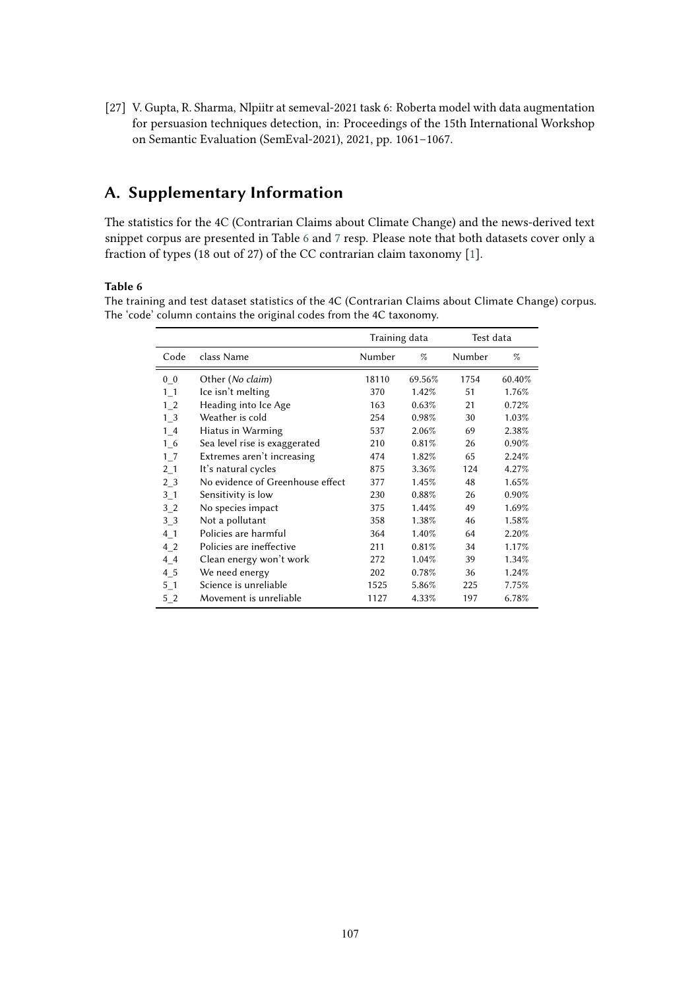<span id="page-10-2"></span>[27] V. Gupta, R. Sharma, Nlpiitr at semeval-2021 task 6: Roberta model with data augmentation for persuasion techniques detection, in: Proceedings of the 15th International Workshop on Semantic Evaluation (SemEval-2021), 2021, pp. 1061–1067.

# <span id="page-10-0"></span>**A. Supplementary Information**

The statistics for the 4C (Contrarian Claims about Climate Change) and the news-derived text snippet corpus are presented in Table [6](#page-10-1) and [7](#page-11-1) resp. Please note that both datasets cover only a fraction of types (18 out of 27) of the CC contrarian claim taxonomy [\[1\]](#page-8-0).

#### <span id="page-10-1"></span>**Table 6**

The training and test dataset statistics of the 4C (Contrarian Claims about Climate Change) corpus. The 'code' column contains the original codes from the 4C taxonomy.

|                    |                                  | Training data |        | Test data |        |
|--------------------|----------------------------------|---------------|--------|-----------|--------|
| Code               | class Name                       | Number        | $\%$   | Number    | $\%$   |
| $0_0$              | Other (No claim)                 | 18110         | 69.56% | 1754      | 60.40% |
| $1_{1}$            | Ice isn't melting                | 370           | 1.42%  | 51        | 1.76%  |
| $1_{2}$            | Heading into Ice Age             | 163           | 0.63%  | 21        | 0.72%  |
| $1_{\overline{3}}$ | Weather is cold                  | 254           | 0.98%  | 30        | 1.03%  |
| $1_4$              | Hiatus in Warming                | 537           | 2.06%  | 69        | 2.38%  |
| $1\_6$             | Sea level rise is exaggerated    | 210           | 0.81%  | 26        | 0.90%  |
| $1-7$              | Extremes aren't increasing       | 474           | 1.82%  | 65        | 2.24%  |
| $2_{1}$            | It's natural cycles              | 875           | 3.36%  | 124       | 4.27%  |
| 2 <sub>3</sub>     | No evidence of Greenhouse effect | 377           | 1.45%  | 48        | 1.65%  |
| $3-1$              | Sensitivity is low               | 230           | 0.88%  | 26        | 0.90%  |
| 32                 | No species impact                | 375           | 1.44%  | 49        | 1.69%  |
| $3-3$              | Not a pollutant                  | 358           | 1.38%  | 46        | 1.58%  |
| $4-1$              | Policies are harmful             | 364           | 1.40%  | 64        | 2.20%  |
| 4 <sub>2</sub>     | Policies are ineffective         | 211           | 0.81%  | 34        | 1.17%  |
| $4-4$              | Clean energy won't work          | 272           | 1.04%  | 39        | 1.34%  |
| $4\_5$             | We need energy                   | 202           | 0.78%  | 36        | 1.24%  |
| $5-1$              | Science is unreliable            | 1525          | 5.86%  | 225       | 7.75%  |
| 52                 | Movement is unreliable           | 1127          | 4.33%  | 197       | 6.78%  |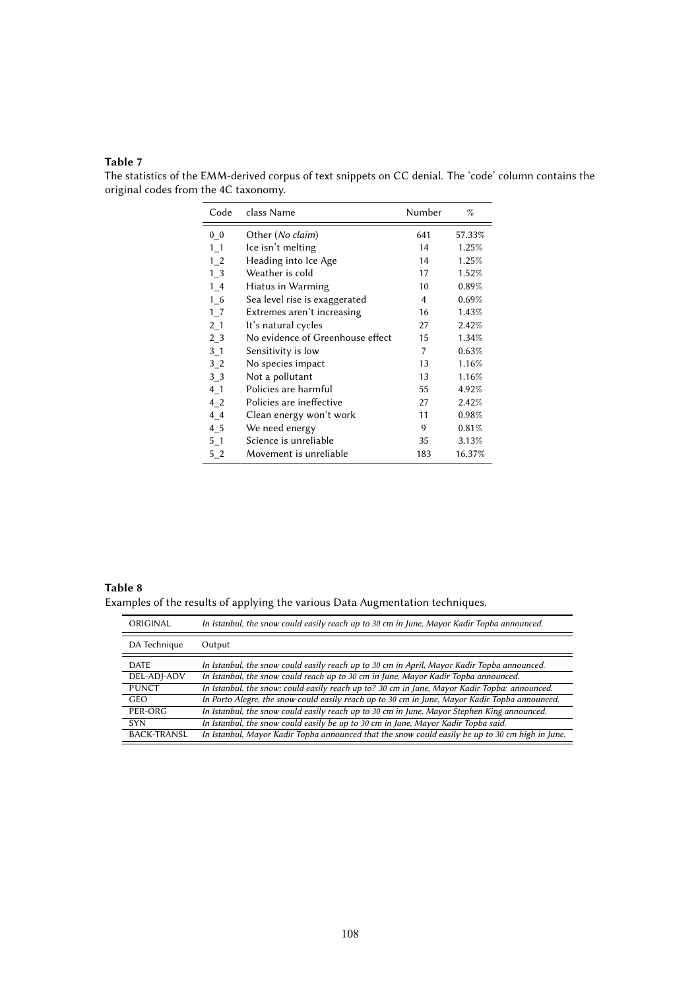### <span id="page-11-1"></span>**Table 7**

The statistics of the EMM-derived corpus of text snippets on CC denial. The 'code' column contains the original codes from the 4C taxonomy.  $\overline{a}$ 

| Code               | class Name                       | Number | $\%$   |
|--------------------|----------------------------------|--------|--------|
| 0 <sub>0</sub>     | Other (No claim)                 | 641    | 57.33% |
| $1\_1$             | Ice isn't melting                | 14     | 1.25%  |
| 1 <sub>2</sub>     | Heading into Ice Age             | 14     | 1.25%  |
| $1_{\overline{3}}$ | Weather is cold                  | 17     | 1.52%  |
| 14                 | Hiatus in Warming                | 10     | 0.89%  |
| 1 6                | Sea level rise is exaggerated    | 4      | 0.69%  |
| 1 <sub>7</sub>     | Extremes aren't increasing       | 16     | 1.43%  |
| 2 <sub>1</sub>     | It's natural cycles              | 27     | 2.42%  |
| 2 <sub>3</sub>     | No evidence of Greenhouse effect | 15     | 1.34%  |
| 3 <sub>1</sub>     | Sensitivity is low               | 7      | 0.63%  |
| 3 <sub>2</sub>     | No species impact                | 13     | 1.16%  |
| 3 3                | Not a pollutant                  | 13     | 1.16%  |
| 4 1                | Policies are harmful             | 55     | 4.92%  |
| 4 2                | Policies are ineffective         | 27     | 2.42%  |
| 44                 | Clean energy won't work          | 11     | 0.98%  |
| 4 5                | We need energy                   | 9      | 0.81%  |
| $5-1$              | Science is unreliable            | 35     | 3.13%  |
| $5-2$              | Movement is unreliable           | 183    | 16.37% |

<span id="page-11-0"></span>**Table 8** Examples of the results of applying the various Data Augmentation techniques.

| ORIGINAL           | In Istanbul, the snow could easily reach up to 30 cm in June, Mayor Kadir Topba announced.       |
|--------------------|--------------------------------------------------------------------------------------------------|
| DA Technique       | Output                                                                                           |
| <b>DATE</b>        | In Istanbul, the snow could easily reach up to 30 cm in April, Mayor Kadir Topba announced.      |
| DEL-ADJ-ADV        | In Istanbul, the snow could reach up to 30 cm in June, Mayor Kadir Topba announced.              |
| <b>PUNCT</b>       | In Istanbul, the snow; could easily reach up to? 30 cm in June, Mayor Kadir Topba: announced.    |
| <b>GEO</b>         | In Porto Alegre, the snow could easily reach up to 30 cm in June, Mayor Kadir Topba announced.   |
| PER-ORG            | In Istanbul, the snow could easily reach up to 30 cm in June, Mayor Stephen King announced.      |
| <b>SYN</b>         | In Istanbul, the snow could easily be up to 30 cm in June, Mayor Kadir Topba said.               |
| <b>BACK-TRANSL</b> | In Istanbul, Mayor Kadir Topba announced that the snow could easily be up to 30 cm high in June. |